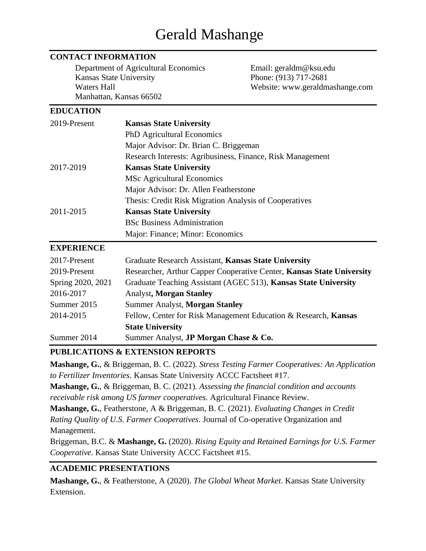# Gerald Mashange

#### **CONTACT INFORMATION**

Department of Agricultural Economics Email: geraldm@ksu.edu Kansas State University Phone: (913) 717-2681 Website: www.geraldmashange.com Manhattan, Kansas 66502

#### **EDUCATION**

| 2019-Present | <b>Kansas State University</b>                             |
|--------------|------------------------------------------------------------|
|              | <b>PhD</b> Agricultural Economics                          |
|              | Major Advisor: Dr. Brian C. Briggeman                      |
|              | Research Interests: Agribusiness, Finance, Risk Management |
| 2017-2019    | <b>Kansas State University</b>                             |
|              | <b>MSc Agricultural Economics</b>                          |
|              | Major Advisor: Dr. Allen Featherstone                      |
|              | Thesis: Credit Risk Migration Analysis of Cooperatives     |
| 2011-2015    | <b>Kansas State University</b>                             |
|              | <b>BSc Business Administration</b>                         |
|              | Major: Finance; Minor: Economics                           |

#### **EXPERIENCE**

| 2017-Present      | Graduate Research Assistant, Kansas State University                  |
|-------------------|-----------------------------------------------------------------------|
| 2019-Present      | Researcher, Arthur Capper Cooperative Center, Kansas State University |
| Spring 2020, 2021 | Graduate Teaching Assistant (AGEC 513), Kansas State University       |
| 2016-2017         | <b>Analyst, Morgan Stanley</b>                                        |
| Summer 2015       | <b>Summer Analyst, Morgan Stanley</b>                                 |
| 2014-2015         | Fellow, Center for Risk Management Education & Research, Kansas       |
|                   | <b>State University</b>                                               |
| Summer 2014       | Summer Analyst, <b>JP Morgan Chase &amp; Co.</b>                      |

#### **PUBLICATIONS & EXTENSION REPORTS**

**Mashange, G.**, & Briggeman, B. C. (2022). *Stress Testing Farmer Cooperatives: An Application to Fertilizer Inventories.* Kansas State University ACCC Factsheet #17. **Mashange, G.**, & Briggeman, B. C. (2021). *Assessing the financial condition and accounts receivable risk among US farmer cooperatives.* Agricultural Finance Review.

**Mashange, G.**, Featherstone, A & Briggeman, B. C. (2021). *Evaluating Changes in Credit Rating Quality of U.S. Farmer Cooperatives*. Journal of Co-operative Organization and Management.

Briggeman, B.C. & **Mashange, G.** (2020). *Rising Equity and Retained Earnings for U.S. Farmer Cooperative*. Kansas State University ACCC Factsheet #15.

### **ACADEMIC PRESENTATIONS**

**Mashange, G.**, & Featherstone, A (2020). *The Global Wheat Market*. Kansas State University Extension.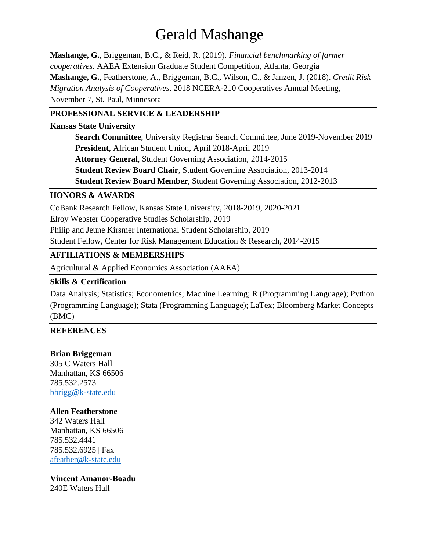# Gerald Mashange

**Mashange, G.**, Briggeman, B.C., & Reid, R. (2019). *Financial benchmarking of farmer cooperatives.* AAEA Extension Graduate Student Competition, Atlanta, Georgia **Mashange, G.**, Featherstone, A., Briggeman, B.C., Wilson, C., & Janzen, J. (2018). *Credit Risk Migration Analysis of Cooperatives*. 2018 NCERA-210 Cooperatives Annual Meeting, November 7, St. Paul, Minnesota

#### **PROFESSIONAL SERVICE & LEADERSHIP**

#### **Kansas State University**

**Search Committee**, University Registrar Search Committee, June 2019-November 2019 **President**, African Student Union, April 2018-April 2019 **Attorney General**, Student Governing Association, 2014-2015 **Student Review Board Chair**, Student Governing Association, 2013-2014 **Student Review Board Member**, Student Governing Association, 2012-2013

#### **HONORS & AWARDS**

CoBank Research Fellow, Kansas State University, 2018-2019, 2020-2021

Elroy Webster Cooperative Studies Scholarship, 2019

Philip and Jeune Kirsmer International Student Scholarship, 2019

Student Fellow, Center for Risk Management Education & Research, 2014-2015

### **AFFILIATIONS & MEMBERSHIPS**

Agricultural & Applied Economics Association (AAEA)

#### **Skills & Certification**

Data Analysis; Statistics; Econometrics; Machine Learning; R (Programming Language); Python (Programming Language); Stata (Programming Language); LaTex; Bloomberg Market Concepts (BMC)

#### **REFERENCES**

#### **Brian Briggeman**

305 C Waters Hall Manhattan, KS 66506 785.532.2573 [bbrigg@k-state.edu](mailto:bbrigg@k-state.edu)

#### **Allen Featherstone**

342 Waters Hall Manhattan, KS 66506 785.532.4441 785.532.6925 | Fax [afeather@k-state.edu](mailto:afeather@k-state.edu)

**Vincent Amanor-Boadu** 240E Waters Hall